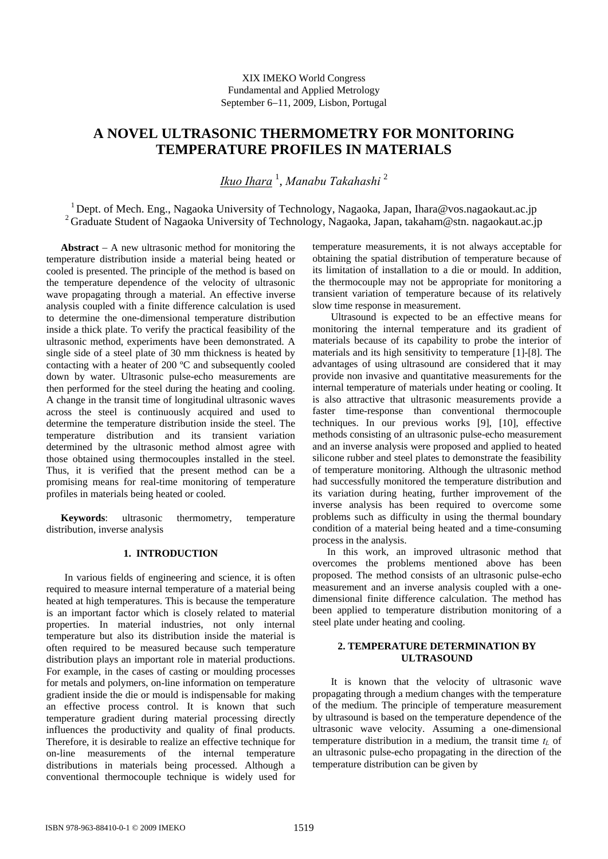# **A NOVEL ULTRASONIC THERMOMETRY FOR MONITORING TEMPERATURE PROFILES IN MATERIALS**

*Ikuo Ihara* <sup>1</sup> , *Manabu Takahashi* <sup>2</sup>

<sup>1</sup> Dept. of Mech. Eng., Nagaoka University of Technology, Nagaoka, Japan, Ihara@vos.nagaokaut.ac.jp <sup>2</sup> Graduate Student of Nagaoka University of Technology, Nagaoka, Japan, takaham@stn. nagaokaut.ac.jp

**Abstract**  $-$  A new ultrasonic method for monitoring the temperature distribution inside a material being heated or cooled is presented. The principle of the method is based on the temperature dependence of the velocity of ultrasonic wave propagating through a material. An effective inverse analysis coupled with a finite difference calculation is used to determine the one-dimensional temperature distribution inside a thick plate. To verify the practical feasibility of the ultrasonic method, experiments have been demonstrated. A single side of a steel plate of 30 mm thickness is heated by contacting with a heater of 200 ºC and subsequently cooled down by water. Ultrasonic pulse-echo measurements are then performed for the steel during the heating and cooling. A change in the transit time of longitudinal ultrasonic waves across the steel is continuously acquired and used to determine the temperature distribution inside the steel. The temperature distribution and its transient variation determined by the ultrasonic method almost agree with those obtained using thermocouples installed in the steel. Thus, it is verified that the present method can be a promising means for real-time monitoring of temperature profiles in materials being heated or cooled.

**Keywords**: ultrasonic thermometry, temperature distribution, inverse analysis

# **1. INTRODUCTION**

In various fields of engineering and science, it is often required to measure internal temperature of a material being heated at high temperatures. This is because the temperature is an important factor which is closely related to material properties. In material industries, not only internal temperature but also its distribution inside the material is often required to be measured because such temperature distribution plays an important role in material productions. For example, in the cases of casting or moulding processes for metals and polymers, on-line information on temperature gradient inside the die or mould is indispensable for making an effective process control. It is known that such temperature gradient during material processing directly influences the productivity and quality of final products. Therefore, it is desirable to realize an effective technique for on-line measurements of the internal temperature distributions in materials being processed. Although a conventional thermocouple technique is widely used for

temperature measurements, it is not always acceptable for obtaining the spatial distribution of temperature because of its limitation of installation to a die or mould. In addition, the thermocouple may not be appropriate for monitoring a transient variation of temperature because of its relatively slow time response in measurement.

Ultrasound is expected to be an effective means for monitoring the internal temperature and its gradient of materials because of its capability to probe the interior of materials and its high sensitivity to temperature [1]-[8]. The advantages of using ultrasound are considered that it may provide non invasive and quantitative measurements for the internal temperature of materials under heating or cooling. It is also attractive that ultrasonic measurements provide a faster time-response than conventional thermocouple techniques. In our previous works [9], [10], effective methods consisting of an ultrasonic pulse-echo measurement and an inverse analysis were proposed and applied to heated silicone rubber and steel plates to demonstrate the feasibility of temperature monitoring. Although the ultrasonic method had successfully monitored the temperature distribution and its variation during heating, further improvement of the inverse analysis has been required to overcome some problems such as difficulty in using the thermal boundary condition of a material being heated and a time-consuming process in the analysis.

In this work, an improved ultrasonic method that overcomes the problems mentioned above has been proposed. The method consists of an ultrasonic pulse-echo measurement and an inverse analysis coupled with a onedimensional finite difference calculation. The method has been applied to temperature distribution monitoring of a steel plate under heating and cooling.

# **2. TEMPERATURE DETERMINATION BY ULTRASOUND**

It is known that the velocity of ultrasonic wave propagating through a medium changes with the temperature of the medium. The principle of temperature measurement by ultrasound is based on the temperature dependence of the ultrasonic wave velocity. Assuming a one-dimensional temperature distribution in a medium, the transit time  $t_L$  of an ultrasonic pulse-echo propagating in the direction of the temperature distribution can be given by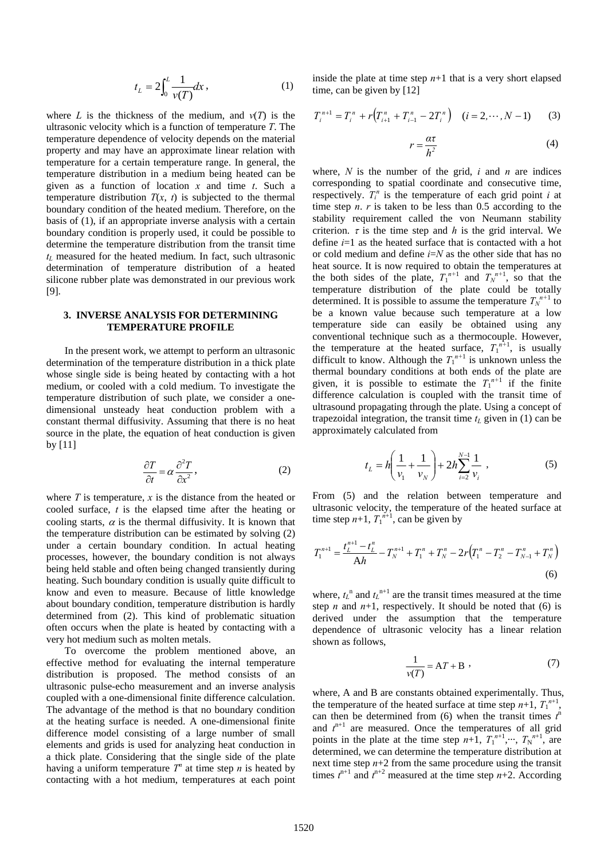$$
t_L = 2\int_0^L \frac{1}{v(T)} dx, \qquad (1)
$$

where *L* is the thickness of the medium, and  $v(T)$  is the ultrasonic velocity which is a function of temperature *T*. The temperature dependence of velocity depends on the material property and may have an approximate linear relation with temperature for a certain temperature range. In general, the temperature distribution in a medium being heated can be given as a function of location *x* and time *t*. Such a temperature distribution  $T(x, t)$  is subjected to the thermal boundary condition of the heated medium. Therefore, on the basis of (1), if an appropriate inverse analysis with a certain boundary condition is properly used, it could be possible to determine the temperature distribution from the transit time  $t_L$  measured for the heated medium. In fact, such ultrasonic determination of temperature distribution of a heated silicone rubber plate was demonstrated in our previous work [9].

## **3. INVERSE ANALYSIS FOR DETERMINING TEMPERATURE PROFILE**

In the present work, we attempt to perform an ultrasonic determination of the temperature distribution in a thick plate whose single side is being heated by contacting with a hot medium, or cooled with a cold medium. To investigate the temperature distribution of such plate, we consider a onedimensional unsteady heat conduction problem with a constant thermal diffusivity. Assuming that there is no heat source in the plate, the equation of heat conduction is given by [11]

$$
\frac{\partial T}{\partial t} = \alpha \frac{\partial^2 T}{\partial x^2},\tag{2}
$$

where  $T$  is temperature,  $x$  is the distance from the heated or cooled surface, *t* is the elapsed time after the heating or cooling starts,  $\alpha$  is the thermal diffusivity. It is known that the temperature distribution can be estimated by solving (2) under a certain boundary condition. In actual heating processes, however, the boundary condition is not always being held stable and often being changed transiently during heating. Such boundary condition is usually quite difficult to know and even to measure. Because of little knowledge about boundary condition, temperature distribution is hardly determined from (2). This kind of problematic situation often occurs when the plate is heated by contacting with a very hot medium such as molten metals.

To overcome the problem mentioned above, an effective method for evaluating the internal temperature distribution is proposed. The method consists of an ultrasonic pulse-echo measurement and an inverse analysis coupled with a one-dimensional finite difference calculation. The advantage of the method is that no boundary condition at the heating surface is needed. A one-dimensional finite difference model consisting of a large number of small elements and grids is used for analyzing heat conduction in a thick plate. Considering that the single side of the plate having a uniform temperature  $T^n$  at time step *n* is heated by contacting with a hot medium, temperatures at each point

inside the plate at time step  $n+1$  that is a very short elapsed time, can be given by [12]

$$
T_i^{n+1} = T_i^n + r(T_{i+1}^n + T_{i-1}^n - 2T_i^n) \quad (i = 2, \cdots, N-1) \tag{3}
$$

$$
r = \frac{\alpha \tau}{h^2} \tag{4}
$$

where,  $N$  is the number of the grid,  $i$  and  $n$  are indices corresponding to spatial coordinate and consecutive time, respectively.  $T_i^n$  is the temperature of each grid point *i* at time step  $n \cdot r$  is taken to be less than 0.5 according to the stability requirement called the von Neumann stability criterion.  $\tau$  is the time step and *h* is the grid interval. We define *i*=1 as the heated surface that is contacted with a hot or cold medium and define *i*=*N* as the other side that has no heat source. It is now required to obtain the temperatures at the both sides of the plate,  $T_1^{n+1}$  and  $T_N^{n+1}$ , so that the temperature distribution of the plate could be totally determined. It is possible to assume the temperature  $T_N^{n+1}$  to be a known value because such temperature at a low temperature side can easily be obtained using any conventional technique such as a thermocouple. However, the temperature at the heated surface,  $T_1^{n+1}$ , is usually difficult to know. Although the  $T_1^{n+1}$  is unknown unless the thermal boundary conditions at both ends of the plate are given, it is possible to estimate the  $T_1^{n+1}$  if the finite difference calculation is coupled with the transit time of ultrasound propagating through the plate. Using a concept of trapezoidal integration, the transit time  $t<sub>L</sub>$  given in (1) can be approximately calculated from

$$
t_L = h \left( \frac{1}{v_1} + \frac{1}{v_N} \right) + 2h \sum_{i=2}^{N-1} \frac{1}{v_i} , \qquad (5)
$$

From (5) and the relation between temperature and ultrasonic velocity, the temperature of the heated surface at time step  $n+1$ ,  $T_1^{n+1}$ , can be given by

$$
T_1^{n+1} = \frac{t_L^{n+1} - t_L^n}{Ah} - T_N^{n+1} + T_1^n + T_N^n - 2r(T_1^n - T_2^n - T_{N-1}^n + T_N^n)
$$
\n(6)

where,  $t_L$ <sup>n</sup> and  $t_L$ <sup>n+1</sup> are the transit times measured at the time step *n* and  $n+1$ , respectively. It should be noted that (6) is derived under the assumption that the temperature dependence of ultrasonic velocity has a linear relation shown as follows,

$$
\frac{1}{v(T)} = AT + B \tag{7}
$$

where, A and B are constants obtained experimentally. Thus, the temperature of the heated surface at time step  $n+1$ ,  $T_1^{n+1}$ , can then be determined from (6) when the transit times  $t<sup>n</sup>$ and  $t^{n+1}$  are measured. Once the temperatures of all grid points in the plate at the time step  $n+1$ ,  $T_1^{n+1}, \dots, T_N^{n+1}$ , are determined, we can determine the temperature distribution at next time step  $n+2$  from the same procedure using the transit times  $t^{n+1}$  and  $t^{n+2}$  measured at the time step  $n+2$ . According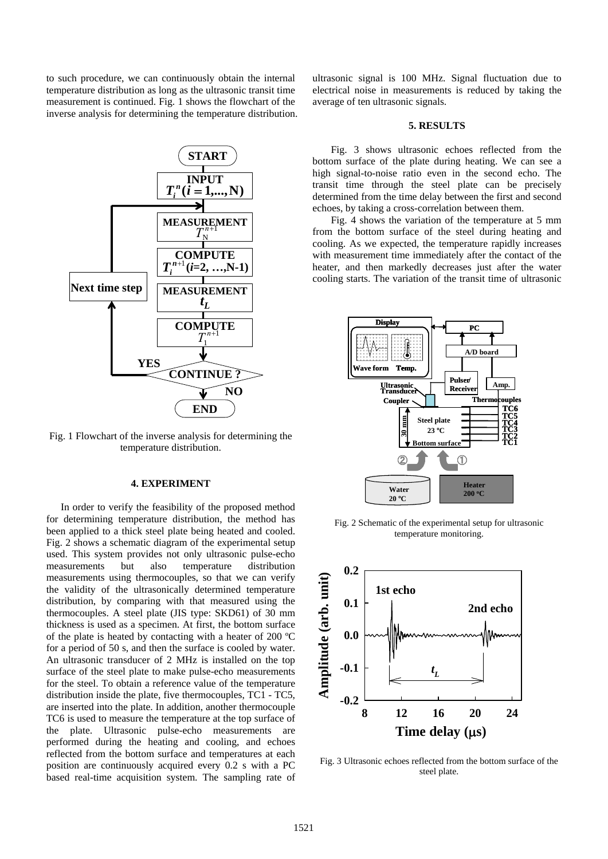to such procedure, we can continuously obtain the internal temperature distribution as long as the ultrasonic transit time measurement is continued. Fig. 1 shows the flowchart of the inverse analysis for determining the temperature distribution.



Fig. 1 Flowchart of the inverse analysis for determining the temperature distribution.

### **4. EXPERIMENT**

In order to verify the feasibility of the proposed method for determining temperature distribution, the method has been applied to a thick steel plate being heated and cooled. Fig. 2 shows a schematic diagram of the experimental setup used. This system provides not only ultrasonic pulse-echo measurements but also temperature distribution measurements using thermocouples, so that we can verify the validity of the ultrasonically determined temperature distribution, by comparing with that measured using the thermocouples. A steel plate (JIS type: SKD61) of 30 mm thickness is used as a specimen. At first, the bottom surface of the plate is heated by contacting with a heater of 200 ºC for a period of 50 s, and then the surface is cooled by water. An ultrasonic transducer of 2 MHz is installed on the top surface of the steel plate to make pulse-echo measurements for the steel. To obtain a reference value of the temperature distribution inside the plate, five thermocouples, TC1 - TC5, are inserted into the plate. In addition, another thermocouple TC6 is used to measure the temperature at the top surface of the plate. Ultrasonic pulse-echo measurements are performed during the heating and cooling, and echoes reflected from the bottom surface and temperatures at each position are continuously acquired every 0.2 s with a PC based real-time acquisition system. The sampling rate of ultrasonic signal is 100 MHz. Signal fluctuation due to electrical noise in measurements is reduced by taking the average of ten ultrasonic signals.

#### **5. RESULTS**

Fig. 3 shows ultrasonic echoes reflected from the bottom surface of the plate during heating. We can see a high signal-to-noise ratio even in the second echo. The transit time through the steel plate can be precisely determined from the time delay between the first and second echoes, by taking a cross-correlation between them.

Fig. 4 shows the variation of the temperature at 5 mm from the bottom surface of the steel during heating and cooling. As we expected, the temperature rapidly increases with measurement time immediately after the contact of the heater, and then markedly decreases just after the water cooling starts. The variation of the transit time of ultrasonic



Fig. 2 Schematic of the experimental setup for ultrasonic temperature monitoring.



Fig. 3 Ultrasonic echoes reflected from the bottom surface of the steel plate.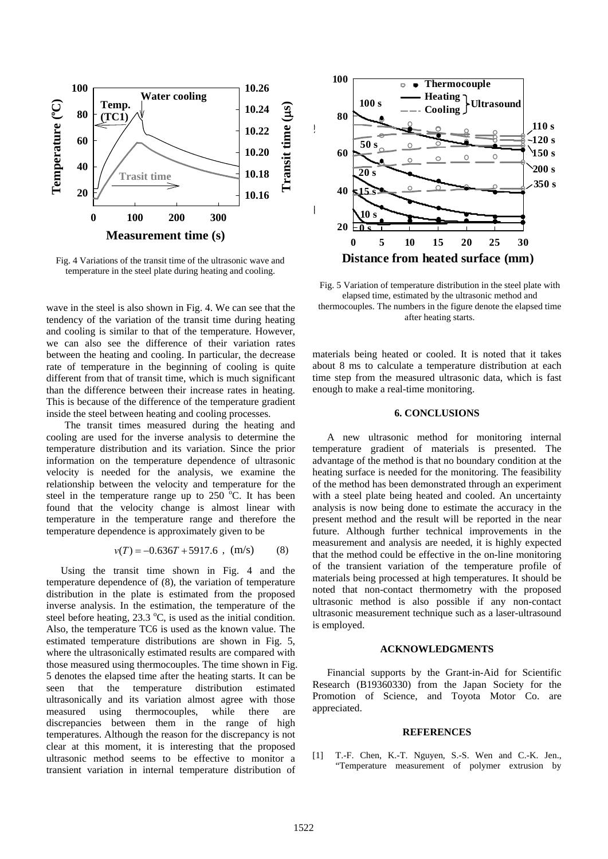

Fig. 4 Variations of the transit time of the ultrasonic wave and temperature in the steel plate during heating and cooling.

wave in the steel is also shown in Fig. 4. We can see that the tendency of the variation of the transit time during heating and cooling is similar to that of the temperature. However, we can also see the difference of their variation rates between the heating and cooling. In particular, the decrease rate of temperature in the beginning of cooling is quite different from that of transit time, which is much significant than the difference between their increase rates in heating. This is because of the difference of the temperature gradient inside the steel between heating and cooling processes.

The transit times measured during the heating and cooling are used for the inverse analysis to determine the temperature distribution and its variation. Since the prior information on the temperature dependence of ultrasonic velocity is needed for the analysis, we examine the relationship between the velocity and temperature for the steel in the temperature range up to  $250^{\circ}$ C. It has been found that the velocity change is almost linear with temperature in the temperature range and therefore the temperature dependence is approximately given to be

$$
v(T) = -0.636T + 5917.6 , (m/s) \qquad (8)
$$

Using the transit time shown in Fig. 4 and the temperature dependence of (8), the variation of temperature distribution in the plate is estimated from the proposed inverse analysis. In the estimation, the temperature of the steel before heating,  $23.3 \text{ °C}$ , is used as the initial condition. Also, the temperature TC6 is used as the known value. The estimated temperature distributions are shown in Fig. 5, where the ultrasonically estimated results are compared with those measured using thermocouples. The time shown in Fig. 5 denotes the elapsed time after the heating starts. It can be seen that the temperature distribution estimated ultrasonically and its variation almost agree with those measured using thermocouples, while there are discrepancies between them in the range of high temperatures. Although the reason for the discrepancy is not clear at this moment, it is interesting that the proposed ultrasonic method seems to be effective to monitor a transient variation in internal temperature distribution of



Fig. 5 Variation of temperature distribution in the steel plate with elapsed time, estimated by the ultrasonic method and thermocouples. The numbers in the figure denote the elapsed time after heating starts.

materials being heated or cooled. It is noted that it takes about 8 ms to calculate a temperature distribution at each time step from the measured ultrasonic data, which is fast enough to make a real-time monitoring.

## **6. CONCLUSIONS**

A new ultrasonic method for monitoring internal temperature gradient of materials is presented. The advantage of the method is that no boundary condition at the heating surface is needed for the monitoring. The feasibility of the method has been demonstrated through an experiment with a steel plate being heated and cooled. An uncertainty analysis is now being done to estimate the accuracy in the present method and the result will be reported in the near future. Although further technical improvements in the measurement and analysis are needed, it is highly expected that the method could be effective in the on-line monitoring of the transient variation of the temperature profile of materials being processed at high temperatures. It should be noted that non-contact thermometry with the proposed ultrasonic method is also possible if any non-contact ultrasonic measurement technique such as a laser-ultrasound is employed.

#### **ACKNOWLEDGMENTS**

Financial supports by the Grant-in-Aid for Scientific Research (B19360330) from the Japan Society for the Promotion of Science, and Toyota Motor Co. are appreciated.

#### **REFERENCES**

[1] T.-F. Chen, K.-T. Nguyen, S.-S. Wen and C.-K. Jen., "Temperature measurement of polymer extrusion by